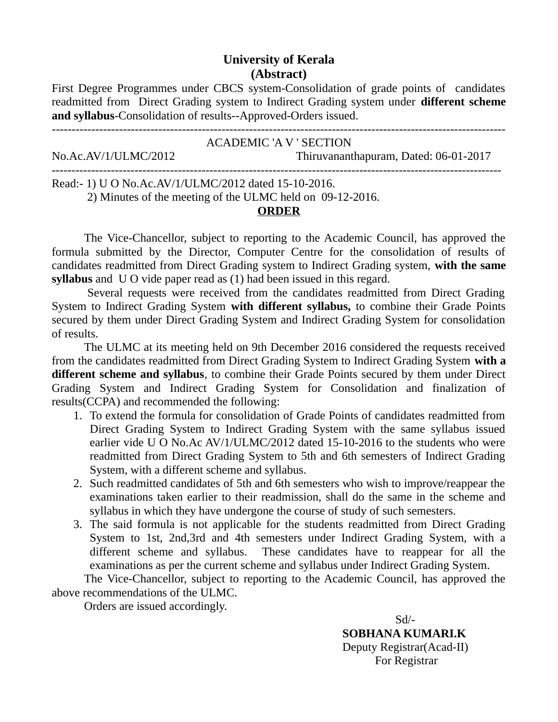## **University of Kerala (Abstract)**

First Degree Programmes under CBCS system-Consolidation of grade points of candidates readmitted from Direct Grading system to Indirect Grading system under **different scheme and syllabus**-Consolidation of results--Approved-Orders issued.

------------------------------------------------------------------------------------------------------------------- ACADEMIC 'A V ' SECTION No.Ac.AV/1/ULMC/2012 Thiruvananthapuram, Dated: 06-01-2017 ------------------------------------------------------------------------------------------------------------------

Read:- 1) U O No.Ac.AV/1/ULMC/2012 dated 15-10-2016.

2) Minutes of the meeting of the ULMC held on 09-12-2016.

## **ORDER**

The Vice-Chancellor, subject to reporting to the Academic Council, has approved the formula submitted by the Director, Computer Centre for the consolidation of results of candidates readmitted from Direct Grading system to Indirect Grading system, **with the same syllabus** and U O vide paper read as (1) had been issued in this regard.

 Several requests were received from the candidates readmitted from Direct Grading System to Indirect Grading System **with different syllabus,** to combine their Grade Points secured by them under Direct Grading System and Indirect Grading System for consolidation of results.

The ULMC at its meeting held on 9th December 2016 considered the requests received from the candidates readmitted from Direct Grading System to Indirect Grading System **with a different scheme and syllabus**, to combine their Grade Points secured by them under Direct Grading System and Indirect Grading System for Consolidation and finalization of results(CCPA) and recommended the following:

- 1. To extend the formula for consolidation of Grade Points of candidates readmitted from Direct Grading System to Indirect Grading System with the same syllabus issued earlier vide U O No.Ac AV/1/ULMC/2012 dated 15-10-2016 to the students who were readmitted from Direct Grading System to 5th and 6th semesters of Indirect Grading System, with a different scheme and syllabus.
- 2. Such readmitted candidates of 5th and 6th semesters who wish to improve/reappear the examinations taken earlier to their readmission, shall do the same in the scheme and syllabus in which they have undergone the course of study of such semesters.
- 3. The said formula is not applicable for the students readmitted from Direct Grading System to 1st, 2nd,3rd and 4th semesters under Indirect Grading System, with a different scheme and syllabus. These candidates have to reappear for all the examinations as per the current scheme and syllabus under Indirect Grading System.

The Vice-Chancellor, subject to reporting to the Academic Council, has approved the above recommendations of the ULMC.

Orders are issued accordingly.

 Sd/- **SOBHANA KUMARI.K** Deputy Registrar(Acad-II) For Registrar